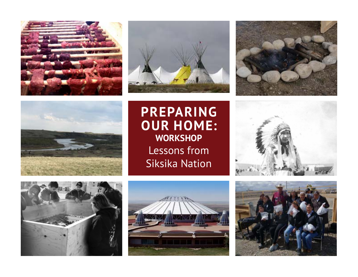







**PREPARING OUR HOME: WORKSHOP** Lessons from Siksika Nation







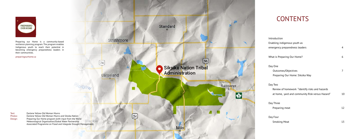| Introduction                                    |    |  |
|-------------------------------------------------|----|--|
| Enabling indigenous youth as                    |    |  |
| emergency preparedness leaders                  | 4  |  |
|                                                 |    |  |
| What is Preparing Our Home?                     | 6  |  |
|                                                 |    |  |
| Day One                                         |    |  |
| Outcomes/Objectives                             | 7  |  |
| Preparing Our Home: Siksika Way                 |    |  |
|                                                 |    |  |
| Day Two                                         |    |  |
| Review of homework "Identify risks and hazards  |    |  |
| at home, yard and community Risk versus Hazard" | 10 |  |
|                                                 |    |  |
| Day Three                                       |    |  |
| Preparing meat                                  | 12 |  |
|                                                 |    |  |
| Day Four                                        |    |  |
| <b>Smoking Meat</b>                             | 13 |  |
|                                                 |    |  |



Preparing our Home is a community-based resilience planning program. The program enables Indigenous youth to reach their potential in becoming emergency preparedness leaders in their communities.

preparingourhome.ca





# **CONTENTS**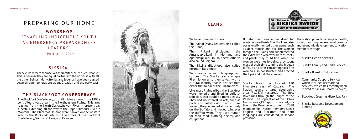

# PREPARING OUR HOME **WORKSHOP** "E N A B L I N G I N D I G E N O U S YO U T H AS EMERGENCY PREPAREDNESS LEADERS" APRIL 8 -11, 2019

The Siksika refer to themselves as Niitsitapi or "the Real People." This is because they are equal partners to the universe with all the other Beings. Many Stories and legends have been passed down through generations about Creation and the early days.

The Blackfoot Confederacy, up until midway through the 1800's controlled a vast area in the Northeastern Plains. This area reached from the North Saskatchewan River in present-day Alberta, extending all the way to the upper Missouri River in Montana. The Blackfoot Holding were flanked on the western side by the Rocky Mountains. The tribes of the Blackfoot Confederacy, Siksika, Piikani, and Kainawa.

## **SIKSIKA**

## **THE BLACKFOOT CONFEDERACY**

We share a common language and culture. The Siksika are a unique First Nation unto themselves, with a cultural identify that is distinct from Siksika Nation is located 110 either the Kainai or the Piikani clans.

- 
- 
- 
- which includes Recreational services (which has recently been moved to Siksika Health Services)
- Blackfoot Crossing Historical Park
- Siksika Resource Development Limited



Like most Plains tribes, the Blackfeet were nomadic and lived in buffaloskin tipis that could be moved easily. They had no interest in arts, such as pottery or basketry, nor in agriculture. Instead, they depended almost entirely on the buffalo and moved wherever the buffalo went. They used buffalo for their food, clothing, shelter, and equipment.



# **CLANS**

We have three main clans: The Kainai (Many Leaders, also called the Blood); The Piikani (including Amsskaapipikani in Montana and Apatohsipiikani in southern Alberta also called Peigan); The Siksika (Blackfoot, also called northern Blackfoot). Buffalo meat was either dried for The Nation provides a range of health, winter or used fresh. The Blackfeet also social, learning, recreational service occasionally hunted other game, such and economic development to Nation as deer, moose, and elk. The women members through: the foraged the Plains and supplemented their diet with whatever berries, roots, and plants they could find. When the women were not foraging, they spent most of their time tanning the hides, a difficult and time-consuming task. The women also constructed and erected the tipis and did the cooking. • Siksika Health Services • Siksika Family and Child Services • Siksika Board of Education • Community Support Services

kilometers east of Calgary. The Nation covers a large geographic area (71,087.5 hectares). The Bow River runs through the length of the Reserve. The population of the Siksika Nation was 7,497, approximately 4,095 live on the Reserve according to 2018 membership. Nation members speak English and Blackfoot, and both languages are considered in service provision.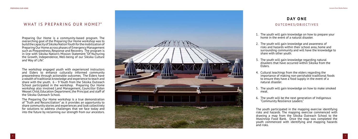

### WHAT IS PREPARING OUR HOME?"

Preparing Our Home is a community-based program. The overarching goal of the Preparing Our Home workshop was to build the capacity of Siksika Nation Youth for the mobilization of Preparing Our Home across phases of Emergency Management such as Preparedness, Response and Recovery. The program is in line with Siksika Nation's Mission Statement "Of Nurturing the Growth, Independence, Well-being of our Siksika Culture and Way of Life".

The workshop engaged youth with experienced instructors and Elders to enhance culturally informed community preparedness through actionable outcomes. The Elders have a wealth of traditional knowledge and experience to teach and share with the youth.  $6 - 9$  Youth from the Siksika Outreach School participated in the workshop. Preparing Our Home workshop also involved Land Management, Councillor Eldon Weasel Child, Education Department, the Principal and staff of the Siksika Outreach School.

The Preparing Our Home workshop is a true demonstration of "Truth and Reconciliation" as it provides an opportunity to share community stories and experiences and look collectively for solutions to address challenges that we face today and into the future by reclaiming our strength from our ancestors.

# **DAY ONE**

## O U T C O M E S / O B J E C T I V E S

- 1. The youth will gain knowledge on how to prepare your home in the event of a natural disaster.
- 2. The youth will gain knowledge and awareness of risks and hazards within their school area, home and surrounding community and will have the knowledge to share with other youth.
- 3. The youth will gain knowledge regarding natural disasters that have occurred within Siksika from the Elders.
- 4. Cultural teachings from the elders regarding the importance of making non-perishable traditional foods to ensure they have a food supply in the event of a natural disaster.
- 5. The youth will gain knowledge on how to make smoked meat.
- 6. The youth will be the next generation of Indigenous "Community Resilience Leaders."

The youth participated in the mapping exercise identifying risks and hazards. The mapping exercise commenced with drawing a map from the Siksika Outreach School to the Ittasinno'p Food Bank. Once the map was completed the youth commenced with identifying and mapping hazards and risks.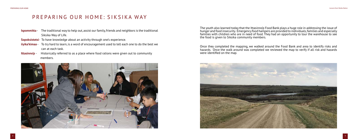# PREPARING OUR HOME: SIKSIKA WAY

- **Ispommitta** The traditional way to help out, assist our family, friends and neighbors is the traditional Siksika Way of Life.
- **Sopoksistotsi** To have knowledge about an activity through one's experience.
- **iiyika'kimaa** To try hard to learn, is a word of encouragement used to tell each one to do the best we can at each task.
- **Ittasinno'p** Historically referred to as a place where food rations were given out to community members.





The youth also learned today that the Ittasinno'p Food Bank plays a huge role in addressing the issue of hunger and food insecurity. Emergency food hampers are provided to individuals, families and especially families with children who are in need of food. They had an opportunity to tour the warehouse to see the food is given to Siksika community members.

Once they completed the mapping, we walked around the Food Bank and area to identify risks and hazards. Once the walk around was completed we reviewed the map to verify if all risk and hazards were identified on the map.

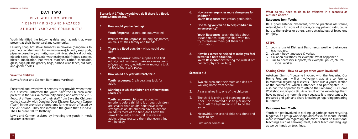# REVIEW OF HOMEWORK "I D E N T I F Y R I S K S A N D H A Z A R D S AT HOME, YARD AND COMMUNITY."

# **DAY TWO**

Youth identified the following risks and hazards that were present at their home, yard and community:

Laundry soap, hot stove, furnaces, microwave (dangerous to put metal or aluminum foil in microwave), laundry soap pods, pipes exposed in yard, nails, swords/knives, electrical outlets, electric saws – blades, old washer/dryer, old fridges, candles, bleach, medication, hot water, matches, carbon monoxide, glass, dogs, plastic grocery bags, barbed wire fence, old cars, and gopher holes.

### **Save the Children**

(Lewis Archer and Carmen Barrientos Martinez)

Presented and overview of services they provide when there is a disaster. Informed the youth Save the Children were present in the Siksika community during and after the 2013 flood. A different group of their staff from Save the Children worked closely with Dancing Deer Disaster Recovery Centre (Team) in the provision of programs for the youth affected by the 2013 flood. They also informed the group that it is Save The Children's 100th Birthday.

#### 7. **One thing you can do to help children in ergency?**

**Response:** teach the kids about e routes, bring the child with me, reassure them, get them out ation.

as someone helped to make you feel  **better in a hard situation? Response:** distracting me, walk it off, ct (physical ie. hug)

hildren and their mom and dad are ng home from school.

crashes into one of the children.

ild is crying and bleeding on the The mom/dad rush to pick up the All the bystanders rush to do the

while, the second child sits alone and to cry.

ider comes in.

Lewis and Carmen assisted by involving the youth in mock disaster scenarios:

| Scenario # 1 "What would you do if there is a flood,<br>storms, tornado, etc."? |                                                                                                                                                                                                                                                                                                                            | 6. | How are e<br>children?<br><b>Youth Res</b>     |  |
|---------------------------------------------------------------------------------|----------------------------------------------------------------------------------------------------------------------------------------------------------------------------------------------------------------------------------------------------------------------------------------------------------------------------|----|------------------------------------------------|--|
| 1.                                                                              | How would you be feeling?                                                                                                                                                                                                                                                                                                  | 7. | <b>One thing</b><br>an emerge                  |  |
|                                                                                 | <b>Youth Response</b> - scared, anxious, worried.                                                                                                                                                                                                                                                                          |    | <b>Youth Res</b>                               |  |
| 2.                                                                              | Worries? Youth Response - belongings, homes,<br>animals, stuffies, family and friends.                                                                                                                                                                                                                                     |    | escape ro<br>try to reas<br>of situatio        |  |
| 3.                                                                              | <b>There is a flood outside</b> – what would you<br>do?                                                                                                                                                                                                                                                                    | 8. | <b>How has s</b>                               |  |
|                                                                                 | <b>Youth responses:</b> Gather supplies, find first<br>aid kit, check windows, make sure everyoneis<br>safe, grab all my toys, follow my mom, cry, look<br>for food, find a safe place.                                                                                                                                    |    | better in a<br><b>Youth Res</b><br>contact (p  |  |
| 4.                                                                              | How would a 5 year old react/feel?                                                                                                                                                                                                                                                                                         |    | Scenario #2                                    |  |
|                                                                                 | <b>Youth responses:</b> Cry, hide, cling, look for<br>adult.                                                                                                                                                                                                                                                               | 1. | Two child<br>walking h                         |  |
| 5.                                                                              | All things in which children are different from<br>adults are:                                                                                                                                                                                                                                                             | 2. | A car cras                                     |  |
|                                                                                 | Youth responses: children respond with<br>emotions before thinking it through, children<br>are smaller than adults, don't have same<br>strength as adults, children have to depend<br>on adults most of the time, don't have the<br>same knowledge of natural disasters as<br>adults, adults reassure them that everything | 3. | The child<br>floor. The<br>child. All<br>same. |  |
|                                                                                 |                                                                                                                                                                                                                                                                                                                            | 4. | Meanwhil<br>starts to o                        |  |
|                                                                                 | will be okay.                                                                                                                                                                                                                                                                                                              | 5. | First aider                                    |  |

**In all emergencies more dangerous for Response:** medication, panic, hide.

#### **What do you need to do to be effective in a scenario as outlined above?**

#### **Responses from Youth:**

Be a good listener, observant, provide practical assistance, referral, look for signs of distress, caring, patient, calm, cause hurt to themselves or others, panic attacks, loss of loved one or injury.

### **STEPS**

- 1. Look is it safe? Distress? Basic needs, weather, bystanders traumatized.
- 2. Listen body language & verbal
- 3. Ask open questions for example: What happened?
- 4. Link to necessary supports, for example: police, church, social worker

### **Sharing Circle - How do we get other youth involved?**

Astokomii Smith: "I became involved with the Preparing Our Home Program, my first involvement was at a conference in Montreal regarding disasters. There was a youth section of the conference which I attended and participated in. I also had the opportunity to attend the Preparing Our Home Workshop in Osoyoos, B.C. As a result of the knowledge that I have gained, I am here this week because it is important to be prepared and gain and share knowledge regarding preparing our home".

#### **Responses from Youth:**

Youth can get involved in picking up garbage, start recycling, bigger youth group workshops, address youth mental health, more information regarding addictions, hands on traditional teachings such as smoking meat, elders teach our language as we do hands on teachings.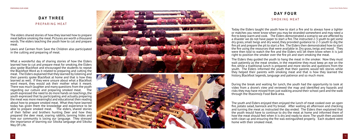# **DAY THREE** PREPARING MEAT

The elders shared stories of how they learned how to prepare meat before smoking the meat. Pictures are worth a thousand words. The elders teaching the youth how to cut and prepare meat.

Lewis and Carmen from Save the Children also participated in the cutting and preparing of meat.

# **DAY FOUR** SMOKING MEAT

What a wonderful day of sharing stories of how the Elders learned how to cut and prepare meat for smoking, the Elders also spoke Blackfoot and encouraged the students to repeat the Blackfoot Word as it related to preparing and cutting the meat. The Elders explained that they learned by listening and their parents spoke Blackfoot at home and that is how they learned as well. If they were unsure about what a Blackfoot word meant, they would ask their mother what it meant. There was much laughter and many questions from the youth regarding our culture and preparing smoked meat. The youth expressed the need to do more hands on teachings, the youth expressed that by participating and actually preparing the meat was more meaningful and educational then reading about how to prepare smoked meat. What they have learned today has given them the knowledge and experience to be able to prepare smoked meat. The elders, shared stories of their father and brothers hunting Deer and how they prepared the deer meat, snaring rabbits, tanning hides and how our community is losing our language. They stressed the importance of learning our Siksika language and Siksika Way Of Life.





The Elders they guided the youth to hang the meat in the smoker. Now they must wait patiently as the meat smokes, in the meantime they must keep an eye on the fire, while a traditional lunch is prepared and more stories and questions from the youth. The Elders informed the youth that their parents would tell stories while they helped their parents with smoking meat and that is how they learned the history, Blackfoot legends, language and patience and so much more.

Today the Elders taught the youth how to start a fire and to always have a lighter or matches you never know when you may be stranded somewhere and may need a fire to keep warm and cook. The Elders demonstrated a scenario we are affected by a disaster we do not have paper to start a fire. The instructed 2-3 youth to get some dry grass, small twigs and dry wood, they provided guidance to 2-3 youth to dig the fire pit and prepare the pit to start a fire. The Elders then demonstrated how to start the fire using the resources that were available ie. Dry grass, twigs and wood. They were then told to watch the fire and the Elders will let them know when it is just right to position the smoker over the fire pit and start smoking the meat.

During the break and waiting for lunch, the youth had the opportunity to look at video from a drone's view and reviewed the map and identified any hazards and risks they may have missed from just walking around their school yard and the walk through the Ittasinno'p Food Bank area.

The youth and Elders enjoyed then enjoyed the lunch of meat cooked over an open fire, potato salad, bannock and fry bread. After waiting all afternoon and checking and turning the meat as instructed the day ended. The Elders then explained that the youth would have to continue to dry the meat at home and informed them of how the meat should feel when it is dry and ready to store. The youth then assisted with clean up and ensuring the fire was extinguished properly. Each student went home with their smoked meat.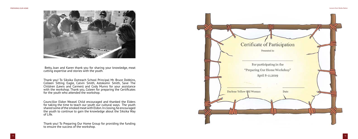

 Betty, Joan and Karen thank you for sharing your knowledge, meat cutting expertise and stories with the youth.

Thank you! To Siksika Outreach School Principal Mr. Bruce Dobbins, Colleen Sitting Eagle, Calvin Smith, Astokomii Smith, Save The Children (Lewis and Carmen) and Cody Munro for your assistance with the workshop. Thank you, Coleen for preparing the Certificates for the youth who attended the workshop.

Councillor Eldon Weasel Child encouraged and thanked the Elders for taking the time to teach our youth our cultural ways. The youth shared some of the smoked meat with Eldon. In closing, he encouraged the youth to continue to gain the knowledge about the Siksika Way of Life.

Thank you! To Preparing Our Home Group for providing the funding to ensure the success of the workshop.